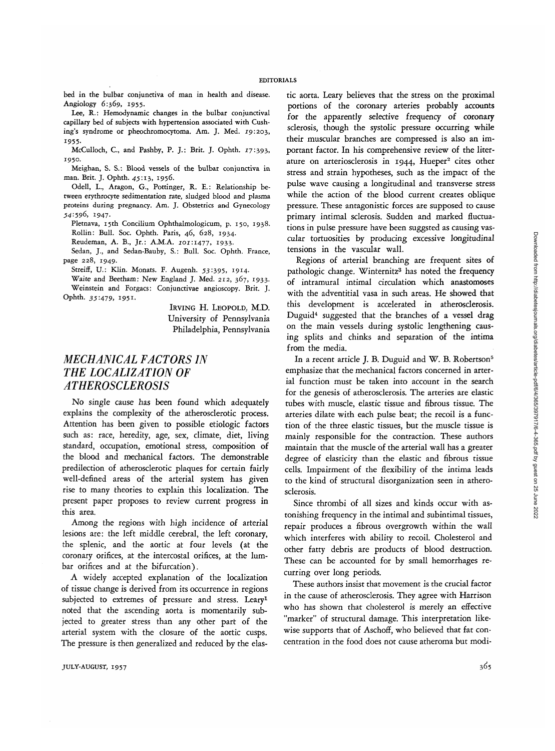bed in the bulbar conjunctiva of man in health and disease. Angiology 6:369, 1955.

Lee, R.: Hemodynamic changes in the bulbar conjunctival capillary bed of subjects with hypertension associated with Cushing's syndrome or pheochromocytoma. Am. J. Med. 19:203, 1955-

McCulloch, C, and Pashby, P. J.: Brit. J. Ophth. 17:393, 1950.

Meighan, S. S.: Blood vessels of the bulbar conjunctiva in man. Brit. J. Ophth. 45:13, 1956.

Odell, L., Aragon, G., Pottinger, R. E.: Relationship between erythrocyte sedimentation rate, sludged blood and plasma proteins during pregnancy. Am. J. Obstetrics and Gynecology .54:596, 1947.

Pletnava, 15th Concilium Ophthalmologicum, p. 150, 1938. Rollin: Bull. Soc. Ophth. Paris, 46, 628, 1934.

Reudeman, A. B., Jr.: A.M.A. 101:1477, 1933.

Sedan, J., and Sedan-Bauby, S.: Bull. Soc. Ophth. France, page 228, 1949.

Streiff, U.: Klin. Monats. F. Augenh. 53:395, 1914.

Waite and Beetham: New England J. Med. 212, 367, 1933. Weinstein and Forgacs: Conjunctivae angioscopy. Brit. J. Ophth. *35-479,* 1951-

> IRVING H. LEOPOLD, M.D. University of Pennsylvania Philadelphia, Pennsylvania

## *MECHANICAL FACTORS IN THE LOCALIZATION OF ATHEROSCLEROSIS*

No single cause has been found which adequately explains the complexity of the atherosclerotic process. Attention has been given to possible etiologic factors such as: race, heredity, age, sex, climate, diet, living standard, occupation, emotional stress, composition of the blood and mechanical factors. The demonstrable predilection of atherosclerotic plaques for certain fairly well-defined areas of the arterial system has given rise to many theories to explain this localization. The present paper proposes to review current progress in this area.

Among the regions with high incidence of arterial lesions are: the left middle cerebral, the left coronary, the splenic, and the aortic at four levels (at the coronary orifices, at the intercostal orifices, at the lumbar orifices and at the bifurcation).

A widely accepted explanation of the localization of tissue change is derived from its occurrence in regions subjected to extremes of pressure and stress. Leary1 noted that the ascending aorta is momentarily subjected to greater stress than any other part of the arterial system with the closure of the aortic cusps. The pressure is then generalized and reduced by the elastic aorta. Leary believes that the stress on the proximal portions of the coronary arteries probably accounts for the apparently selective frequency of coronary sclerosis, though the systolic pressure occurring while their muscular branches are compressed is also an important factor. In his comprehensive review of the literature on arteriosclerosis in 1944, Hueper<sup>2</sup> cites other stress and strain hypotheses, such as the impact of the pulse wave causing a longitudinal and transverse stress while the action of the blood current creates oblique pressure. These antagonistic forces are supposed to cause primary intimal sclerosis. Sudden and marked fluctuations in pulse pressure have been suggsted as causing vascular tortuosities by producing excessive longitudinal tensions in the vascular wall.

Regions of arterial branching are frequent sites of pathologic change. Winternitz<sup>3</sup> has noted the frequency of intramural intimal circulation which anastomoses with the adventitial vasa in such areas. He showed that this development is accelerated in atherosclerosis. Duguid<sup>4</sup> suggested that the branches of a vessel drag on the main vessels during systolic lengthening causing splits and chinks and separation of the intima from the media.

In a recent article J. B. Duguid and W. B. Robertson<sup>5</sup> emphasize that the mechanical factors concerned in arterial function must be taken into account in the search for the genesis of atherosclerosis. The arteries are elastic tubes with muscle, elastic tissue and fibrous tissue. The arteries dilate with each pulse beat; the recoil is a function of the three elastic tissues, but the muscle tissue is mainly responsible for the contraction. These authors maintain that the muscle of the arterial wall has a greater degree of elasticity than the elastic and fibrous tissue cells. Impairment of the flexibility of the intima leads to the kind of structural disorganization seen in atherosclerosis.

Since thrombi of all sizes and kinds occur with astonishing frequency in the intimal and subintimal tissues, repair produces a fibrous overgrowth within the wall which interferes with ability to recoil. Cholesterol and other fatty debris are products of blood destruction. These can be accounted for by small hemorrhages recurring over long periods.

These authors insist that movement is the crucial factor in the cause of atherosclerosis. They agree with Harrison who has shown that cholesterol is merely an effective "marker" of structural damage. This interpretation likewise supports that of Aschoff, who believed that fat concentration in the food does not cause atheroma but modi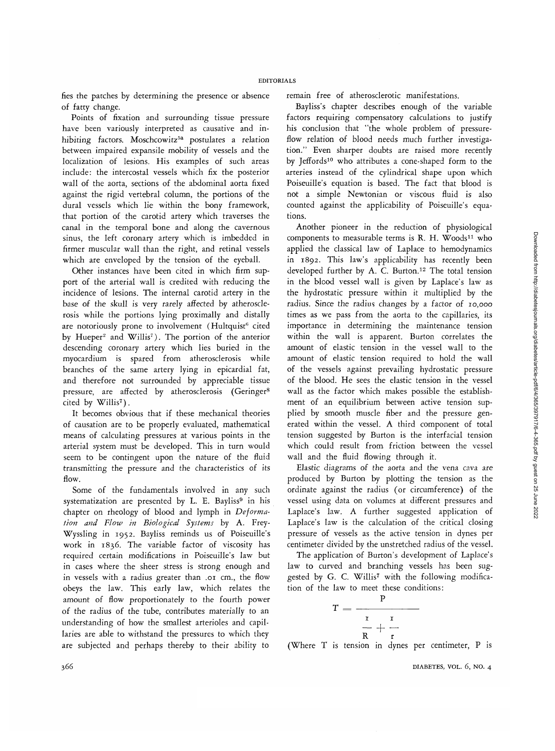fies the patches by determining the presence or absence of fatty change.

Points of fixation and surrounding tissue pressure have been variously interpreted as causative and inhibiting factors. Moschcowitz<sup>5a</sup> postulates a relation between impaired expansile mobility of vessels and the localization of lesions. His examples of such areas include: the intercostal vessels which fix the posterior wall of the aorta, sections of the abdominal aorta fixed against the rigid vertebral column, the portions of the dural vessels which lie within the bony framework, that portion of the carotid artery which traverses the canal in the temporal bone and along the cavernous sinus, the left coronary artery which is imbedded in firmer muscular wall than the right, and retinal vessels which are enveloped by the tension of the eyeball.

Other instances have been cited in which firm support of the arterial wall is credited with reducing the incidence of lesions. The internal carotid artery in the base of the skull is very rarely affected by atherosclerosis while the portions lying proximally and distally are notoriously prone to involvement (Hultquist<sup>6</sup> cited by Hueper<sup>2</sup> and Willis<sup>7</sup>). The portion of the anterior descending coronary artery which lies buried in the myocardium is spared from atherosclerosis while branches of the same artery lying in epicardial fat, and therefore not surrounded by appreciable tissue pressure, are affected by atherosclerosis (Geringer<sup>8</sup> .<br>cited by Willis<sup>7</sup>).

It becomes obvious that if these mechanical theories of causation are to be properly evaluated, mathematical means of calculating pressures at various points in the arterial system must be developed. This in turn would seem to be contingent upon the nature of the fluid transmitting the pressure and the characteristics of its flow.

Some of the fundamentals involved in any such systematization are presented by L. E. Bayliss<sup>9</sup> in his chapter on rheology of blood and lymph in *Deformation and Flow in Biological Systems* by A. Frey-Wyssling in 1952. Bayliss reminds us of Poiseuille's work in 1836. The variable factor of viscosity has required certain modifications in Poiseuille's law but in cases where the sheer stress is strong enough and in vessels with a radius greater than .01 cm., the flow obeys the law. This early law, which relates the amount of flow proportionately to the fourth power of the radius of the tube, contributes materially to an understanding of how the smallest arterioles and capillaries are able to withstand the pressures to which they are subjected and perhaps thereby to their ability to

remain free of atherosclerotic manifestations.

Bayliss's chapter describes enough of the variable factors requiring compensatory calculations to justify his conclusion that "the whole problem of pressureflow relation of blood needs much further investigation." Even sharper doubts are raised more recently by Jeffords<sup>10</sup> who attributes a cone-shaped form to the arteries instead of the cylindrical shape upon which Poiseuille's equation is based. The fact that blood is not a simple Newtonian or viscous fluid is also counted against the applicability of Poiseuille's equations.

Another pioneer in the reduction of physiological components to measurable terms is R. H. Woods<sup>11</sup> who applied the classical law of Laplace to hemodynamics in 1892. This law's applicability has recently been developed further by A. C. Burton.12 The total tension in the blcod vessel wall is given by Laplace's law as the hydrostatic pressure within it multiplied by the radius. Since the radius changes by a factor of 10,000 times as we pass from the aorta to the capillaries, its importance in determining the maintenance tension within the wall is apparent. Burton correlates the amount of elastic tension in the vessel wall to the amount of elastic tension required to hold the wall of the vessels against prevailing hydrostatic pressure of the blood. He sees the elastic tension in the vessel wall as the factor which makes possible the establishment of an equilibrium between active tension supplied by smooth muscle fiber and the pressure generated within the vessel. A third component of total tension suggested by Burton is the interfacial tension which could result from friction between the vessel wall and the fluid flowing through it.

Elastic diagrams of the aorta and the vena cava are produced by Burton by plotting the tension as the ordinate against the radius (or circumference) of the vessel using data on volumes at different pressures and Laplace's law. A further suggested application of Laplace's law is the calculation of the critical closing pressure of vessels as the active tension in dynes per centimeter divided by the unstretched radius of the vessel.

The application of Burton's development of Laplace's law to curved and branching vessels has been suggested by G. C. Willis<sup>7</sup> with the following modification of the law to meet these conditions:

$$
T = \frac{P}{\frac{I}{R} + \frac{I}{T}}
$$

(Where T is tension in dynes per centimeter, P is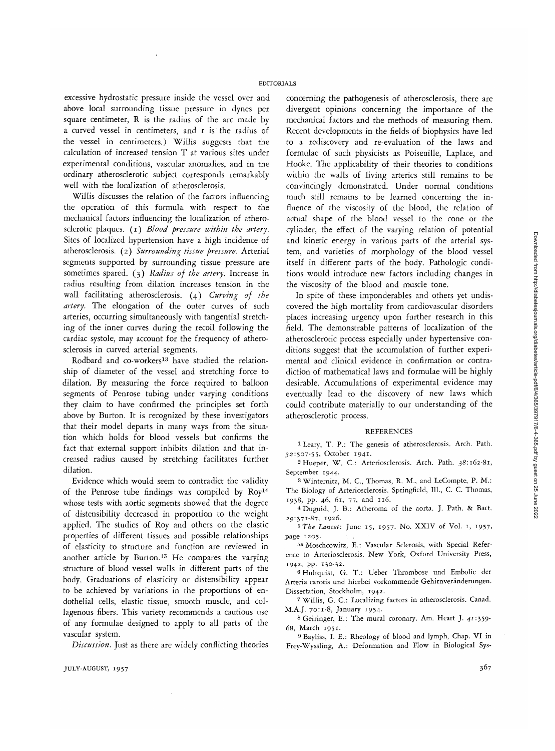## EDITORIALS

excessive hydrostatic pressure inside the vessel over and above local surrounding tissue pressure in dynes per square centimeter, R is the radius of the arc made by a curved vessel in centimeters, and r is the radius of the vessel in centimeters.) Willis suggests that the calculation of increased tension T at various sites under experimental conditions, vascular anomalies, and in the ordinary atherosclerotic subject corresponds remarkably well with the localization of atherosclerosis.

Willis discusses the relation of the factors influencing the operation of this formula with respect to the mechanical factors influencing the localization of atherosclerotic plaques, (i) *Blood pressure within the artery.* Sites of localized hypertension have a high incidence of atherosclerosis. (2) *Surrounding tissue pressure.* Arterial segments supported by surrounding tissue pressure are sometimes spared. (3) *Radius of the artery.* Increase in radius resulting from dilation increases tension in the wall facilitating atherosclerosis. (4) *Curving of the artery.* The elongation of the outer curves of such arteries, occurring simultaneously with tangential stretching of the inner curves during the recoil following the cardiac systole, may account for the frequency of atherosclerosis in curved arterial segments.

Rodbard and co-workers<sup>13</sup> have studied the relationship of diameter of the vessel and stretching force to dilation. By measuring the force required to balloon segments of Penrose tubing under varying conditions they claim to have confirmed the principles set forth above by Burton. It is recognized by these investigators that their model departs in many ways from the situation which holds for blood vessels but confirms the fact that external support inhibits dilation and that increased radius caused by stretching facilitates further dilation.

Evidence which would seem to contradict the validity of the Penrose tube findings was compiled by Roy14 whose tests with aortic segments showed that the degree of distensibility decreased in proportion to the weight applied. The studies of Roy and others on the elastic properties of different tissues and possible relationships of elasticity to structure and function are reviewed in another article by Burton.15 He compares the varying structure of blood vessel walls in different parts of the body. Graduations of elasticity or distensibility appear to be achieved by variations in the proportions of endothelial cells, elastic tissue, smooth muscle, and collagenous fibers. This variety recommends a cautious use of any formulae designed to apply to all parts of the vascular system.

*Discussion.* Just as there are widely conflicting theories

concerning the pathogenesis of atherosclerosis, there are divergent opinions concerning the importance of the mechanical factors and the methods of measuring them. Recent developments in the fields of biophysics have led to a rediscovery and re-evaluation of the laws and formulae of such physicists as Poiseuille, Laplace, and Hooke. The applicability of their theories to conditions within the walls of living arteries still remains to be convincingly demonstrated. Under normal conditions much still remains to be learned concerning the influence of the viscosity of the blood, the relation of actual shape of the blood vessel to the cone or the cylinder, the effect of the varying relation of potential and kinetic energy in various parts of the arterial system, and varieties of morphology of the blood vessel itself in different parts of the body. Pathologic conditions would introduce new factors including changes in the viscosity of the blood and muscle tone.

In spite of these imponderables and others yet undiscovered the high mortality from cardiovascular disorders places increasing urgency upon further research in this field. The demonstrable patterns of localization of the atherosclerotic process especially under hypertensive conditions suggest that the accumulation of further experimental and clinical evidence in confirmation or contradiction of mathematical laws and formulae will be highly desirable. Accumulations of experimental evidence may eventually lead to the discovery of new laws which could contribute materially to our understanding of the atherosclerotic process.

## REFERENCES

1 Leary, T. P.: The genesis of atherosclerosis. Arch. Path. 32:507-55, October 1941. <sup>2</sup>

Hueper, W. C: Arteriosclerosis. Arch. Path. 38:162-81, September 1944.

SWinternitz, M. C, Thomas, R. M., and LeCompte, P. M.: The Biology of Arteriosclerosis. Springfield, 111., C. C. Thomas, 1938, pp. 46, 61, 77, and 116. <sup>4</sup>

Duguid, J. B.: Atheroma of the aorta. J. Path. & Bact. 29:371-87, 1926. <sup>5</sup>

 *The Lancet:* June 15, 1957. No. XXIV of Vol. 1, i957> page 1205.

 Moschcowitz, E.: Vascular Sclerosis, with Special Reference to Arteriosclerosis. New York, Oxford University Press, 1942, pp. 130-32. <sup>6</sup>

<sup>6</sup> Hultquist, G. T.: Ueber Thrombose und Embolie der Arteria carotis und hierbei vorkommende Gehirnveranderungen. Dissertation, Stockholm, 1942.

 Willis, G. C: Localizing factors in atherosclerosis. Canad. M.A.J. 70:1-8, January 1954.

 Geiringer, E.: The mural coronary. Am. Heart J. 41:359- 68, March 1951.

<sup>9</sup> Bayliss, I. E.: Rheology of blood and lymph, Chap. VI in Frey-Wyssling, A.: Deformation and Flow in Biological Sys